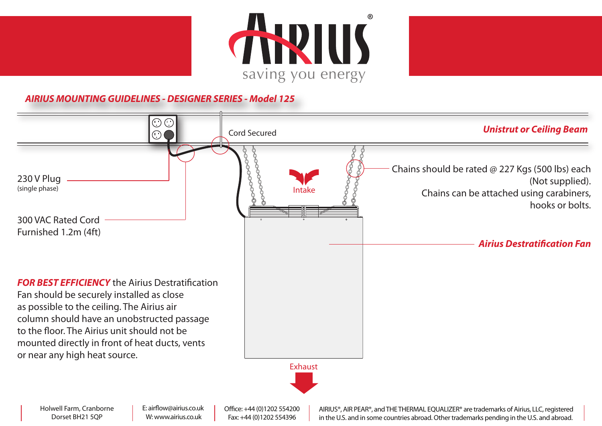





## **AIRIUS MOUNTING GUIDELINES - DESIGNER SERIES - Model 125**